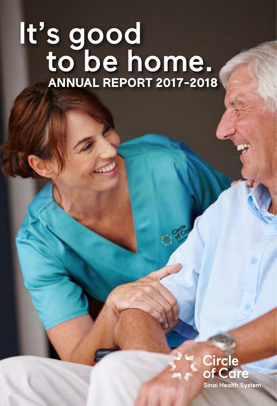# It's good **ANNUAL REPORT 2017-2018** to be home.



1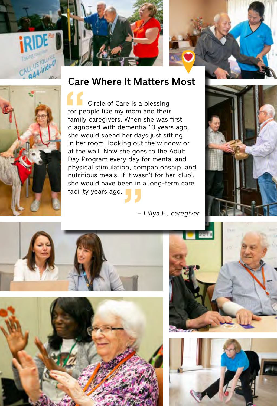







#### Care Where It Matters Most

for pe<br>
family<br>
diagne<br>
she we<br>
in her Circle of Care is a blessing for people like my mom and their family caregivers. When she was first diagnosed with dementia 10 years ago, she would spend her days just sitting in her room, looking out the window or at the wall. Now she goes to the Adult Day Program every day for mental and physical stimulation, companionship, and nutritious meals. If it wasn't for her 'club', she would have been in a long-term care facility years ago.

*– Liliya F., caregiver*









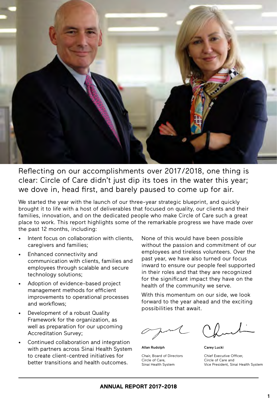

Reflecting on our accomplishments over 2017/2018, one thing is clear: Circle of Care didn't just dip its toes in the water this year; we dove in, head first, and barely paused to come up for air.

We started the year with the launch of our three-year strategic blueprint, and quickly brought it to life with a host of deliverables that focused on quality, our clients and their families, innovation, and on the dedicated people who make Circle of Care such a great place to work. This report highlights some of the remarkable progress we have made over the past 12 months, including:

- Intent focus on collaboration with clients, caregivers and families;
- Enhanced connectivity and communication with clients, families and employees through scalable and secure technology solutions;
- Adoption of evidence-based project management methods for efficient improvements to operational processes and workflows;
- Development of a robust Quality Framework for the organization, as well as preparation for our upcoming Accreditation Survey;
- Continued collaboration and integration with partners across Sinai Health System to create client-centred initiatives for better transitions and health outcomes.

None of this would have been possible without the passion and commitment of our employees and tireless volunteers. Over the past year, we have also turned our focus inward to ensure our people feel supported in their roles and that they are recognized for the significant impact they have on the health of the community we serve.

With this momentum on our side, we look forward to the year ahead and the exciting possibilities that await.

Allan Rudolph Chair, Board of Directors Circle of Care, Sinai Health System

Carey Lucki

Chief Executive Officer, Circle of Care and Vice President, Sinai Health System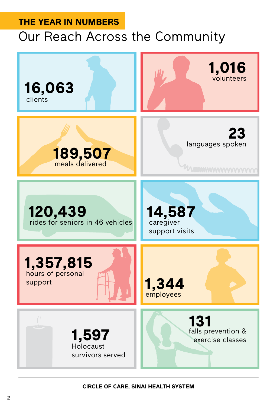## **THE YEAR IN NUMBERS** Our Reach Across the Community

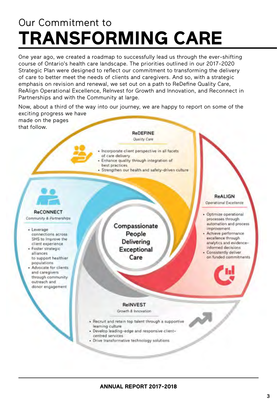## Our Commitment to **TRANSFORMING CARE**

One year ago, we created a roadmap to successfully lead us through the ever-shifting course of Ontario's health care landscape. The priorities outlined in our 2017-2020 Strategic Plan were designed to reflect our commitment to transforming the delivery of care to better meet the needs of clients and caregivers. And so, with a strategic emphasis on revision and renewal, we set out on a path to ReDefine Quality Care, ReAlign Operational Excellence, ReInvest for Growth and Innovation, and Reconnect in Partnerships and with the Community at large.

Now, about a third of the way into our journey, we are happy to report on some of the exciting progress we have

made on the pages that follow.



- Incorporate client perspective in all facets of care delivery
- · Enhance quality through integration of best practices.
- · Strengthen our health and safety-driven culture



Community & Partnerships

- + Leverage connections across SHS to improve the client experience
- · Foster strategic alliances to support healthier populations
- · Advocate for clients and caregivers through community outreach and donor engagement

Compassionate People Delivering Exceptional Care

ReALIGN Operational Excellence

- · Optimize operational processes through automation and process improvement
- Achieve performance excellence through analytics and evidenceinformed decisions
- Consistently deliver on funded commitments

#### **ReINVEST**

Growth & Innovation

- . Recruit and retain top talent through a supportive learning culture
- · Develop leading-edge and responsive clientcentred services
- · Drive transformative technology solutions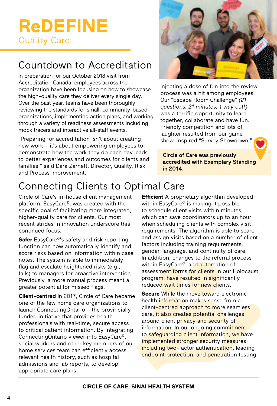## **ReDEFINE** Quality Care

### Countdown to Accreditation

In preparation for our October 2018 visit from Accreditation Canada, employees across the organization have been focusing on how to showcase the high-quality care they deliver every single day. Over the past year, teams have been thoroughly reviewing the standards for small, community-based organizations, implementing action plans, and working through a variety of readiness assessments including mock tracers and interactive all-staff events.

"Preparing for accreditation isn't about creating new work – it's about empowering employees to demonstrate how the work they do each day leads to better experiences and outcomes for clients and families," said Dara Zarnett, Director, Quality, Risk and Process Improvement.



Injecting a dose of fun into the review process was a hit among employees. Our "Escape Room Challenge" *(21 questions, 21 minutes, 1 way out!)* was a terrific opportunity to learn together, collaborate and have fun. Friendly competition and lots of laughter resulted from our game show-inspired "Survey Showdown."

Circle of Care was previously accredited with Exemplary Standing in 2014.

## Connecting Clients to Optimal Care

Circle of Care's in-house client management platform, EasyCare©, was created with the specific goal of facilitating more integrated, higher-quality care for clients. Our most recent strides in innovation underscore this continued focus.

**Safer** EasyCare<sup>®</sup>'s safety and risk reporting function can now automatically identify and score risks based on information within case notes. The system is able to immediately flag and escalate heightened risks (e.g., falls) to managers for proactive intervention. Previously, a more manual process meant a greater potential for missed flags.

**Client-centred** In 2017, Circle of Care became one of the few home care organizations to launch ConnectingOntario – the provincially funded initiative that provides health professionals with real-time, secure access to critical patient information. By integrating ConnectingOntario viewer into EasyCare©, social workers and other key members of our home services team can efficiently access relevant health history, such as hospital admissions and lab reports, to develop appropriate care plans.

**Efficient** A proprietary algorithm developed within EasyCare<sup>®</sup> is making it possible to schedule client visits within minutes, which can save coordinators up to an hour when scheduling clients with complex visit requirements. The algorithm is able to search and assign visits based on a number of client factors including training requirements, gender, language, and continuity of care. In addition, changes to the referral process within EasyCare<sup>®</sup>, and automation of assessment forms for clients in our Holocaust program, have resulted in significantly reduced wait times for new clients.

**Secure** While the move toward electronic health information makes sense from a client-centred approach to more seamless care, it also creates potential challenges around client privacy and security of information. In our ongoing commitment to safeguarding client information, we have implemented stronger security measures including two-factor authentication, leading endpoint protection, and penetration testing.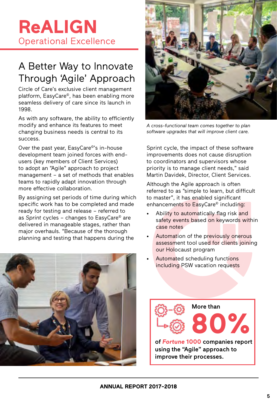## **ReALIGN** Operational Excellence

### A Better Way to Innovate Through 'Agile' Approach

Circle of Care's exclusive client management platform, EasyCare<sup>®</sup>, has been enabling more seamless delivery of care since its launch in 1998.

As with any software, the ability to efficiently modify and enhance its features to meet changing business needs is central to its success.

Over the past year, EasyCare©'s in-house development team joined forces with endusers (key members of Client Services) to adopt an "Agile" approach to project management – a set of methods that enables teams to rapidly adapt innovation through more effective collaboration.

By assigning set periods of time during which specific work has to be completed and made ready for testing and release – referred to as *Sprint* cycles – changes to EasyCare© are delivered in manageable stages, rather than major overhauls. "Because of the thorough planning and testing that happens during the





*A cross-functional team comes together to plan software upgrades that will improve client care.*

Sprint cycle, the impact of these software improvements does not cause disruption to coordinators and supervisors whose priority is to manage client needs," said Martin Davidek, Director, Client Services.

Although the Agile approach is often referred to as "simple to learn, but difficult to master", it has enabled significant enhancements to EasyCare<sup>®</sup> including:

- Ability to automatically flag risk and safety events based on keywords within case notes
- Automation of the previously onerous assessment tool used for clients joining our Holocaust program
- Automated scheduling functions including PSW vacation requests

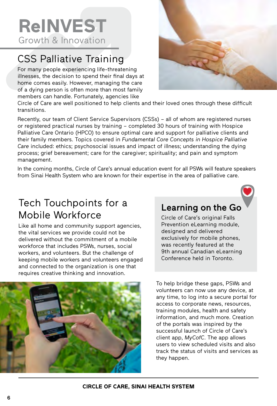**ReINVEST** Growth & Innovation

## CSS Palliative Training

For many people experiencing life-threatening illnesses, the decision to spend their final days at home comes easily. However, managing the care of a dying person is often more than most family members can handle. Fortunately, agencies like



Circle of Care are well positioned to help clients and their loved ones through these difficult transitions.

Recently, our team of Client Service Supervisors (CSSs) – all of whom are registered nurses or registered practical nurses by training – completed 30 hours of training with Hospice Palliative Care Ontario (HPCO) to ensure optimal care and support for palliative clients and their family members. Topics covered in *Fundamental Core Concepts in Hospice Palliative Care* included: ethics; psychosocial issues and impact of illness; understanding the dying process; grief bereavement; care for the caregiver; spirituality; and pain and symptom management.

In the coming months, Circle of Care's annual education event for all PSWs will feature speakers from Sinai Health System who are known for their expertise in the area of palliative care.

#### Tech Touchpoints for a Mobile Workforce

Like all home and community support agencies, the vital services we provide could not be delivered without the commitment of a mobile workforce that includes PSWs, nurses, social workers, and volunteers. But the challenge of keeping mobile workers and volunteers engaged and connected to the organization is one that requires creative thinking and innovation.



#### Learning on the Go

Circle of Care's original Falls Prevention eLearning module, designed and delivered exclusively for mobile phones, was recently featured at the 9th annual Canadian eLearning Conference held in Toronto.

To help bridge these gaps, PSWs and volunteers can now use any device, at any time, to log into a secure portal for access to corporate news, resources, training modules, health and safety information, and much more. Creation of the portals was inspired by the successful launch of Circle of Care's client app, *MyCofC*. The app allows users to view scheduled visits and also track the status of visits and services as they happen.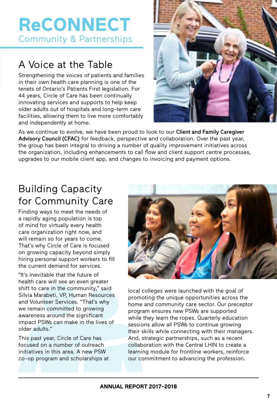## **ReCONNECT**  Community & Partnerships

## A Voice at the Table

Strengthening the voices of patients and families in their own health care planning is one of the tenets of Ontario's Patients First legislation. For 44 years, Circle of Care has been continually innovating services and supports to help keep older adults out of hospitals and long-term care facilities, allowing them to live more comfortably and independently at home.



As we continue to evolve, we have been proud to look to our Client and Family Caregiver Advisory Council (CFAC) for feedback, perspective and collaboration. Over the past year, the group has been integral to driving a number of quality improvement initiatives across the organization, including enhancements to call flow and client support centre processes, upgrades to our mobile client app, and changes to invoicing and payment options.

### Building Capacity for Community Care

Finding ways to meet the needs of a rapidly aging population is top of mind for virtually every health care organization right now, and will remain so for years to come. That's why Circle of Care is focused on growing capacity beyond simply hiring personal support workers to fill the current demand for services.

"It's inevitable that the future of health care will see an even greater shift to care in the community," said Silvia Marabeti, VP, Human Resources and Volunteer Services. "That's why we remain committed to growing awareness around the significant impact PSWs can make in the lives of older adults."

This past year, Circle of Care has focused on a number of outreach initiatives in this area. A new PSW co-op program and scholarships at



local colleges were launched with the goal of promoting the unique opportunities across the home and community care sector. Our preceptor program ensures new PSWs are supported while they learn the ropes. Quarterly education sessions allow all PSWs to continue growing their skills while connecting with their managers. And, strategic partnerships, such as a recent collaboration with the Central LHIN to create a learning module for frontline workers, reinforce our commitment to advancing the profession.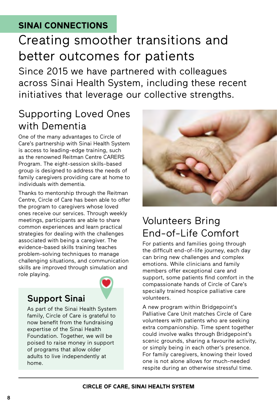#### **SINAI CONNECTIONS**

## Creating smoother transitions and better outcomes for patients

Since 2015 we have partnered with colleagues across Sinai Health System, including these recent initiatives that leverage our collective strengths.

#### Supporting Loved Ones with Dementia

One of the many advantages to Circle of Care's partnership with Sinai Health System is access to leading-edge training, such as the renowned Reitman Centre CARERS Program. The eight-session skills-based group is designed to address the needs of family caregivers providing care at home to individuals with dementia.

Thanks to mentorship through the Reitman Centre, Circle of Care has been able to offer the program to caregivers whose loved ones receive our services. Through weekly meetings, participants are able to share common experiences and learn practical strategies for dealing with the challenges associated with being a caregiver. The evidence-based skills training teaches problem-solving techniques to manage challenging situations, and communication skills are improved through simulation and role playing.

#### Support Sinai

As part of the Sinai Health System family, Circle of Care is grateful to now benefit from the fundraising expertise of the Sinai Health Foundation. Together, we will be poised to raise money in support of programs that allow older adults to live independently at home.



#### Volunteers Bring End-of-Life Comfort

For patients and families going through the difficult end-of-life journey, each day can bring new challenges and complex emotions. While clinicians and family members offer exceptional care and support, some patients find comfort in the compassionate hands of Circle of Care's specially trained hospice palliative care volunteers.

A new program within Bridgepoint's Palliative Care Unit matches Circle of Care volunteers with patients who are seeking extra companionship. Time spent together could involve walks through Bridgepoint's scenic grounds, sharing a favourite activity, or simply being in each other's presence. For family caregivers, knowing their loved one is not alone allows for much-needed respite during an otherwise stressful time.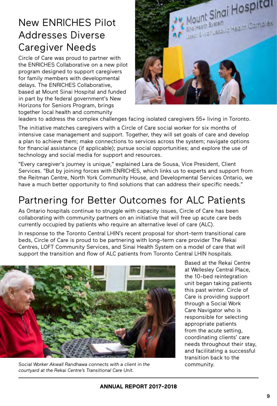#### New ENRICHES Pilot Addresses Diverse Caregiver Needs

Circle of Care was proud to partner with the ENRICHES Collaborative on a new pilot program designed to support caregivers for family members with developmental delays. The ENRICHES Collaborative, based at Mount Sinai Hospital and funded in part by the federal government's New Horizons for Seniors Program, brings together local health and community



leaders to address the complex challenges facing isolated caregivers 55+ living in Toronto.

The initiative matches caregivers with a Circle of Care social worker for six months of intensive case management and support. Together, they will set goals of care and develop a plan to achieve them; make connections to services across the system; navigate options for financial assistance (if applicable); pursue social opportunities; and explore the use of technology and social media for support and resources.

"Every caregiver's journey is unique," explained Lara de Sousa, Vice President, Client Services. "But by joining forces with ENRICHES, which links us to experts and support from the Reitman Centre, North York Community House, and Developmental Services Ontario, we have a much better opportunity to find solutions that can address their specific needs."

### Partnering for Better Outcomes for ALC Patients

As Ontario hospitals continue to struggle with capacity issues, Circle of Care has been collaborating with community partners on an initiative that will free up acute care beds currently occupied by patients who require an alternative level of care (ALC).

In response to the Toronto Central LHIN's recent proposal for short-term transitional care beds, Circle of Care is proud to be partnering with long-term care provider The Rekai Centres, LOFT Community Services, and Sinai Health System on a model of care that will support the transition and flow of ALC patients from Toronto Central LHIN hospitals.



*Social Worker Akwall Randhawa connects with a client in the courtyard at the Rekai Centre's Transitional Care Unit.* 

Based at the Rekai Centre at Wellesley Central Place, the 10-bed reintegration unit began taking patients this past winter. Circle of Care is providing support through a Social Work Care Navigator who is responsible for selecting appropriate patients from the acute setting, coordinating clients' care needs throughout their stay, and facilitating a successful transition back to the community.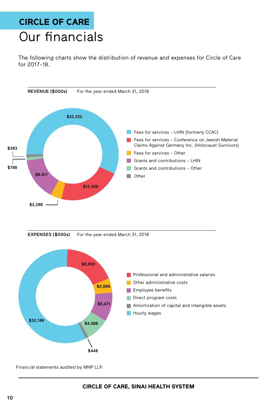## **CIRCLE OF CARE** Our financials

The following charts show the distribution of revenue and expenses for Circle of Care for 2017-18.



Financial statements audited by MNP LLP.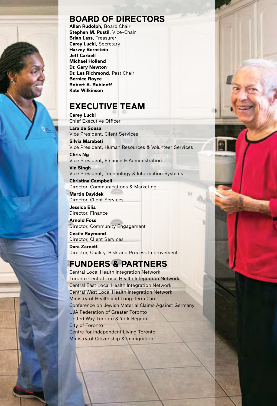

#### **BOARD OF DIRECTORS**

**Allan Rudolph,** Board Chair **Stephen M. Pustil,** Vice-Chair **Brian Lass,** Treasurer **Carey Lucki,** Secretary **Harvey Bernstein Jeff Carbell Michael Hollend Dr. Gary Newton Dr. Les Richmond**, Past Chair **Bernice Royce Robert A. Rubinoff Kate Wilkinson**

#### **EXECUTIVE TEAM**

**Carey Lucki** Chief Executive Officer

**Lara de Sousa** Vice President, Client Services **Silvia Marabeti**

Vice President, Human Resources & Volunteer Services

**Chris Ng** Vice President, Finance & Administration

**Vin Singh** Vice President, Technology & Information Systems

**Christina Campbell** Director, Communications & Marketing

**Martin Davidek** Director, Client Services

**Jessica Elia** Director, Finance

**Arnold Foss** Director, Community Engagement

**Cecile Raymond** Director, Client Services

**Dara Zarnett** Director, Quality, Risk and Process Improvement

#### **FUNDERS & PARTNERS**

Central Local Health Integration Network Toronto Central Local Health Integration Network Central East Local Health Integration Network Central West Local Health Integration Network Ministry of Health and Long-Term Care Conference on Jewish Material Claims Against Germany UJA Federation of Greater Toronto United Way Toronto & York Region City of Toronto Centre for Independent Living Toronto Ministry of Citizenship & Immigration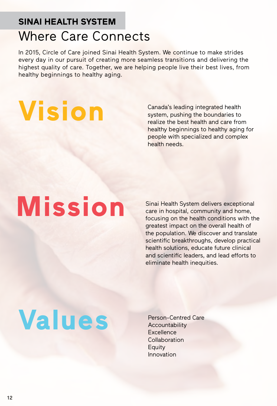## **SINAI HEALTH SYSTEM** Where Care Connects

In 2015, Circle of Care joined Sinai Health System. We continue to make strides every day in our pursuit of creating more seamless transitions and delivering the highest quality of care. Together, we are helping people live their best lives, from healthy beginnings to healthy aging.

**Vision**

Canada's leading integrated health system, pushing the boundaries to realize the best health and care from healthy beginnings to healthy aging for people with specialized and complex health needs.

# **Mission**

Sinai Health System delivers exceptional care in hospital, community and home, focusing on the health conditions with the greatest impact on the overall health of the population. We discover and translate scientific breakthroughs, develop practical health solutions, educate future clinical and scientific leaders, and lead efforts to eliminate health inequities.

# **Values**

Person-Centred Care Accountability **Excellence** Collaboration **Equity** Innovation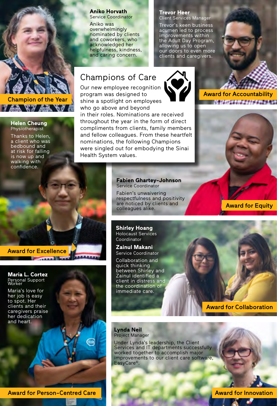#### **Aniko Horvath**

Service Coordinator

Aniko was overwhelmingly nominated by clients and coworkers, who acknowledged her helpfulness, kindness, and caring concern.

#### **Trevor Heer**

Client Services Manager Trevor's keen business acumen led to process improvements within the Adult Day Program, allowing us to open our doors to even more clients and caregivers.

#### Champions of Care

Our new employee recognition program was designed to shine a spotlight on employees who go above and beyond

in their roles. Nominations are received throughout the year in the form of direct compliments from clients, family members and fellow colleagues. From these heartfelt nominations, the following Champions were singled out for embodying the Sinai Health System values.

Award for Accountability 2012年12月10日开发工程工程发展发展



Award for Equity

**Fabien Ghartey-Johnson** Service Coordinator

Fabien's unwaivering respectfulness and positivity are noticed by clients and colleagues alike.

**Shirley Hoang**  Holocaust Services Coordinator

**Zainul Makani**  Service Coordinator

Collaboration and quick thinking between Shirley and Zainul identified a client in distress and the coordination of immediate care.

Award for Excellence

**Maria L. Cortez** Personal Support Worker

**Helen Cheung** Physiotherapist Thanks to Helen, a client who was bedbound and at risk for falling is now up and walking with confidence.

Champion of the Year

 $3.44$   $8.3.44$   $8.9$ 

Maria's love for her job is easy to spot. Her clients and their caregivers praise her dedication and heart.

> **Lynda Neil** Project Manager

Under Lynda's leadership, the Client Services and IT departments successfully worked together to accomplish major improvements to our client care software, EasyCare©.

Award for Collaboration

Award for Person-Centred Care